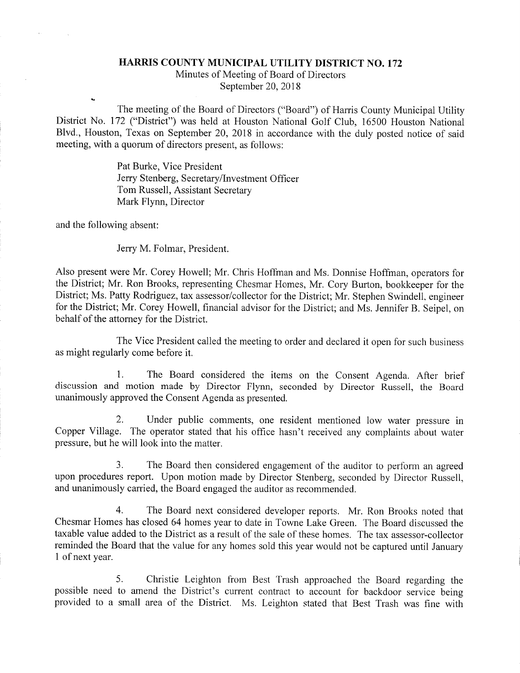## HARRIS COUNTY MUNICIPAL UTILITY DISTRICT NO. 172

Minutes of Meeting of Board of Directors September 20, 2018

The meeting of the Board of Directors ("Board") of Harris County Municipal Utility District No. 172 ("District") was held at Houston National Golf Club, 16500 Houston National Blvd., Houston, Texas on September 20, 2018 in accordance with the duly posted notice of said meeting, with a quorum of directors present, as follows:

> Pat Burke, Vice President Jerry Stenberg, Secretary/Investment Officer Tom Russell, Assistant Secretary Mark Flynn, Director

and the following absent:

Jerry M. Folmar, President.

Also present were Mr. Corey Howell; Mr. Chris Hoffman and Ms. Donnise Hoffman, operators for the District; Mr. Ron Brooks, representing Chesmar Homes, Mr. Cory Burton, bookkeeper for the District; Ms. Patty Rodriguez, tax assessor/collector for the District; Mr. Stephen Swindell, engineer for the District; Mr. Corey Howell, financial advisor for the District; and Ms. Jennifer B. Seipel, on behalf of the attorney for the District.

The Vice President called the meeting to order and declared it open for such business as might regularly come before it.

1. The Board considered the items on the Consent Agenda. After brief discussion and motion made by Director Flynn, seconded by Director Russell, the Board unanimously approved the Consent Agenda as presented.

2. Under public comments, one resident mentioned low water pressure in Copper Village. The operator stated that his office hasn't received any complaints about water pressure, but he will look into the matter.

3. The Board then considered engagement of the auditor to perform an agreed upon procedures report. Upon motion made by Director Stenberg, seconded by Director Russell, and unanimously carried, the Board engaged the auditor as recommended.

4. The Board next considered developer reports. Mr. Ron Brooks noted that Chesmar Homes has closed 64 homes year to date in Towne Lake Green. The Board discussed the taxable value added to the District as a result of the sale of these homes. The tax assessor-collector reminded the Board that the value for any homes sold this year would not be captured until January 1 of next year.

5. Christie Leighton from Best Trash approached the Board regarding the possible need to amend the District's current contract to account for backdoor service being provided to a small area of the District. Ms. Leighton stated that Best Trash was fine with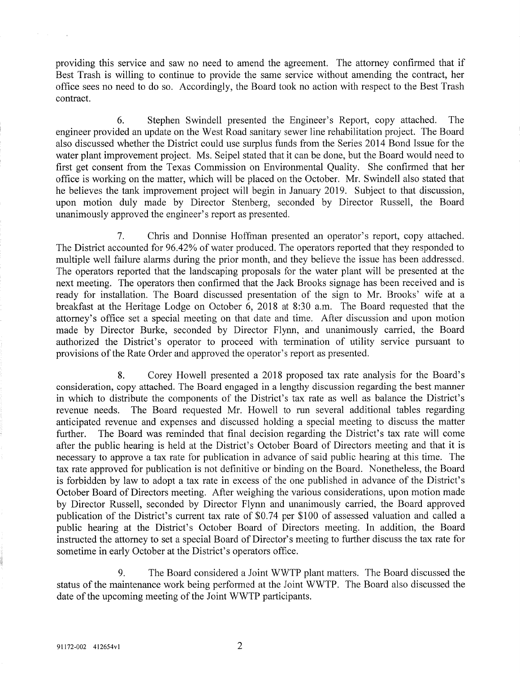providing this service and saw no need to amend the agreement. The attorney confirmed that if Best Trash is willing to continue to provide the same service without amending the contract, her office sees no need to do so. Accordingly, the Board took no action with respect to the Best Trash contract.

6. Stephen Swindell presented the Engineer's Report, copy attached. The engineer provided an update on the West Road sanitary sewer line rehabilitation project. The Board also discussed whether the District could use surplus funds from the Series 2014 Bond Issue for the water plant improvement project. Ms. Seipel stated that it can be done, but the Board would need to first get consent from the Texas Commission on Environmental Quality. She confirmed that her office is working on the matter, which will be placed on the October. Mr. Swindell also stated that he believes the tank improvement project will begin in January 2019. Subject to that discussion, upon motion duly made by Director Stenberg, seconded by Director Russell, the Board unanimously approved the engineer's report as presented.

7. Chris and Donnise Hoffman presented an operator's report, copy attached. The District accounted for 96.42% of water produced. The operators reported that they responded to multiple well failure alarms during the prior month, and they believe the issue has been addressed. The operators reported that the landscaping proposals for the water plant will be presented at the next meeting. The operators then confirmed that the Jack Brooks signage has been received and is ready for installation. The Board discussed presentation of the sign to Mr. Brooks' wife at a breakfast at the Heritage Lodge on October 6, 2018 at 8:30 a.m. The Board requested that the attorney's office set a special meeting on that date and time. After discussion and upon motion made by Director Burke, seconded by Director Flynn, and unanimously carried, the Board authorized the District's operator to proceed with termination of utility service pursuant to provisions of the Rate Order and approved the operator's report as presented.

8. Corey Howell presented a 2018 proposed tax rate analysis for the Board's consideration, copy attached. The Board engaged in a lengthy discussion regarding the best manner in which to distribute the components of the District's tax rate as well as balance the District's revenue needs. The Board requested Mr. Howell to run several additional tables regarding anticipated revenue and expenses and discussed holding a special meeting to discuss the matter further. The Board was reminded that final decision regarding the District's tax rate will come after the public hearing is held at the District's October Board of Directors meeting and that it is necessary to approve a tax rate for publication in advance of said public hearing at this time. The tax rate approved for publication is not definitive or binding on the Board. Nonetheless, the Board is forbidden by law to adopt a tax rate in excess of the one published in advance of the District's October Board of Directors meeting. After weighing the various considerations, upon motion made by Director Russell, seconded by Director Flynn and unanimously carried, the Board approved publication of the District's current tax rate of \$0.74 per \$100 of assessed valuation and called a public hearing at the District's October Board of Directors meeting. In addition, the Board instructed the attorney to set a special Board of Director's meeting to further discuss the tax rate for sometime in early October at the District's operators office.

9. The Board considered a Joint WWTP plant matters. The Board discussed the status of the maintenance work being performed at the Joint WWTP. The Board also discussed the date of the upcoming meeting of the Joint WWTP participants.

 $\overline{2}$